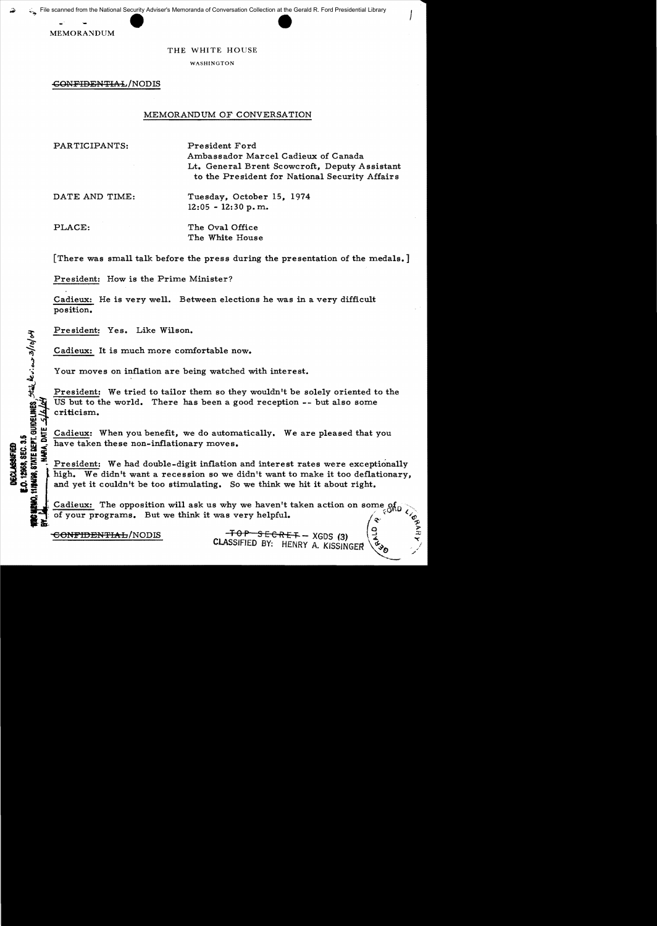**MEMORANDUM** 

## THE WHITE HOUSE

WASHINGTON

GONFIDENTIAL/NODIS

## MEMORANDUM OF CONVERSATION

PARTICIPANTS:

President Ford Ambassador Marcel Cadieux of Canada Lt. General Brent Scowcroft, Deputy Assistant to the President for National Security Affairs

 $\mathcal{F}_{\mathcal{A}}$ 

DATE AND TIME:

Tuesday, October 15, 1974 12:05 - 12:30 p.m..

PLACE:

오.

 $^{\circ}$  $\frac{35}{\cdot}$   $\mid$ 

The Oval Office The White House

[There was small talk before the press during the presentation of the medals.]

President: How is the Prime Minister?

Cadieux: He is very well. Between elections he was in a very difficult position.

President: Yes. Like Wilson.

Cadieux: It is much more comfortable now.

Your moves on inflation are being watched with interest.

President: We tried to tailor them so they wouldn't be solely oriented to the US but to the world. There has been a good reception  $--$  but also some criticism.

Lot  $\frac{1}{10}$   $\frac{1}{10}$   $\frac{1}{10}$   $\frac{1}{10}$  have taken these non-inflationary moves.<br>  $\frac{1}{10}$   $\frac{1}{10}$  have taken these non-inflationary moves.<br>  $\frac{1}{10}$   $\frac{1}{10}$   $\frac{1}{10}$   $\frac{1}{10}$   $\frac{1}{10}$  we had double

 $222 - 12$ President: We had double-digit inflation and interest rates were exceptionally high. We didn't want a recession so we didn't want to make it too deflationary, and yet it couldn't be too stimulating. So we think we hit it about right.

Cadieux: The opposition will ask us why we haven't taken action on some of of your programs. But we think it was very helpful.

CONFIDENTIAL/NODIS . TOP SECRET - XGDS (3) CLASSIFIED BY: HENRY A. KISSINGER

 $\circ$   $\geq$ 

-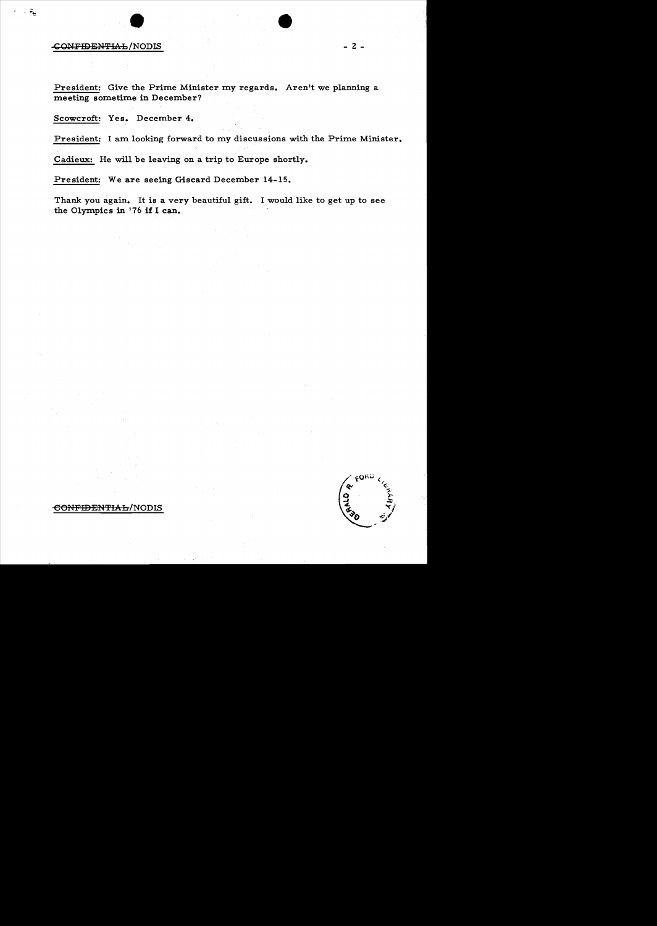## $\text{COMFIDENTHA-L/NODIS}$  - 2 -

ୄୄ

President: Give the Prime Minister my regards. Aren't we planning a meeting sometime in December?

Scowcroft: Yes. December 4.

President: I am looking forward to my discussions with the Prime Minister.

Cadieux: He will be leaving on a trip to Europe shortly.

President: We are seeing Giscard December 14-15.

Thank you again. It is a very beautiful gift. I would like to get up to see the Olympics in '76 if I can.



eO?fFIDEN'fIAh/NODIS